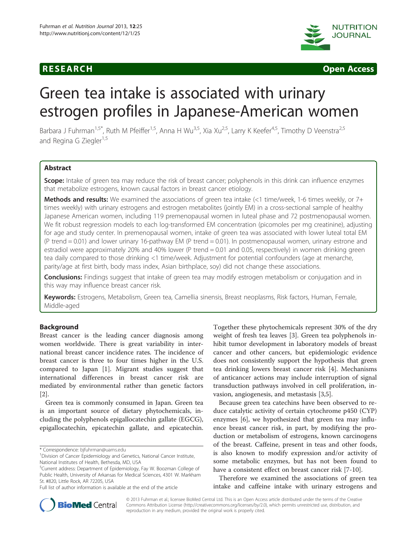



# Green tea intake is associated with urinary estrogen profiles in Japanese-American women

Barbara J Fuhrman<sup>1,5\*</sup>, Ruth M Pfeiffer<sup>1,5</sup>, Anna H Wu<sup>3,5</sup>, Xia Xu<sup>2,5</sup>, Larry K Keefer<sup>4,5</sup>, Timothy D Veenstra<sup>2,5</sup> and Regina G Ziegler<sup>1,5</sup>

# **Abstract**

Scope: Intake of green tea may reduce the risk of breast cancer; polyphenols in this drink can influence enzymes that metabolize estrogens, known causal factors in breast cancer etiology.

Methods and results: We examined the associations of green tea intake (<1 time/week, 1-6 times weekly, or 7+ times weekly) with urinary estrogens and estrogen metabolites (jointly EM) in a cross-sectional sample of healthy Japanese American women, including 119 premenopausal women in luteal phase and 72 postmenopausal women. We fit robust regression models to each log-transformed EM concentration (picomoles per mg creatinine), adjusting for age and study center. In premenopausal women, intake of green tea was associated with lower luteal total EM (P trend = 0.01) and lower urinary 16-pathway EM (P trend = 0.01). In postmenopausal women, urinary estrone and estradiol were approximately 20% and 40% lower (P trend = 0.01 and 0.05, respectively) in women drinking green tea daily compared to those drinking <1 time/week. Adjustment for potential confounders (age at menarche, parity/age at first birth, body mass index, Asian birthplace, soy) did not change these associations.

**Conclusions:** Findings suggest that intake of green tea may modify estrogen metabolism or conjugation and in this way may influence breast cancer risk.

Keywords: Estrogens, Metabolism, Green tea, Camellia sinensis, Breast neoplasms, Risk factors, Human, Female, Middle-aged

# Background

Breast cancer is the leading cancer diagnosis among women worldwide. There is great variability in international breast cancer incidence rates. The incidence of breast cancer is three to four times higher in the U.S. compared to Japan [\[1\]](#page-12-0). Migrant studies suggest that international differences in breast cancer risk are mediated by environmental rather than genetic factors [[2\]](#page-12-0).

Green tea is commonly consumed in Japan. Green tea is an important source of dietary phytochemicals, including the polyphenols epigallocatechin gallate (EGCG), epigallocatechin, epicatechin gallate, and epicatechin.

\* Correspondence: [bjfuhrman@uams.edu](mailto:bjfuhrman@uams.edu) <sup>1</sup>

Together these phytochemicals represent 30% of the dry weight of fresh tea leaves [\[3](#page-12-0)]. Green tea polyphenols inhibit tumor development in laboratory models of breast cancer and other cancers, but epidemiologic evidence does not consistently support the hypothesis that green tea drinking lowers breast cancer risk [[4\]](#page-12-0). Mechanisms of anticancer actions may include interruption of signal transduction pathways involved in cell proliferation, invasion, angiogenesis, and metastasis [\[3,5](#page-12-0)].

Because green tea catechins have been observed to reduce catalytic activity of certain cytochrome p450 (CYP) enzymes [[6\]](#page-12-0), we hypothesized that green tea may influence breast cancer risk, in part, by modifying the production or metabolism of estrogens, known carcinogens of the breast. Caffeine, present in teas and other foods, is also known to modify expression and/or activity of some metabolic enzymes, but has not been found to have a consistent effect on breast cancer risk [[7](#page-12-0)-[10\]](#page-12-0).

Therefore we examined the associations of green tea intake and caffeine intake with urinary estrogens and



© 2013 Fuhrman et al.; licensee BioMed Central Ltd. This is an Open Access article distributed under the terms of the Creative Commons Attribution License [\(http://creativecommons.org/licenses/by/2.0\)](http://creativecommons.org/licenses/by/2.0), which permits unrestricted use, distribution, and reproduction in any medium, provided the original work is properly cited.

<sup>&</sup>lt;sup>1</sup> Division of Cancer Epidemiology and Genetics, National Cancer Institute, National Institutes of Health, Bethesda, MD, USA

<sup>&</sup>lt;sup>5</sup>Current address: Department of Epidemiology, Fay W. Boozman College of Public Health, University of Arkansas for Medical Sciences, 4301 W. Markham St. #820, Little Rock, AR 72205, USA

Full list of author information is available at the end of the article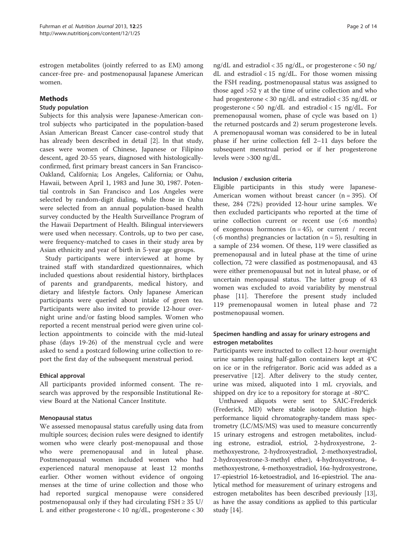estrogen metabolites (jointly referred to as EM) among cancer-free pre- and postmenopausal Japanese American women.

# Methods

# Study population

Subjects for this analysis were Japanese-American control subjects who participated in the population-based Asian American Breast Cancer case-control study that has already been described in detail [[2\]](#page-12-0). In that study, cases were women of Chinese, Japanese or Filipino descent, aged 20-55 years, diagnosed with histologicallyconfirmed, first primary breast cancers in San Francisco-Oakland, California; Los Angeles, California; or Oahu, Hawaii, between April 1, 1983 and June 30, 1987. Potential controls in San Francisco and Los Angeles were selected by random-digit dialing, while those in Oahu were selected from an annual population-based health survey conducted by the Health Surveillance Program of the Hawaii Department of Health. Bilingual interviewers were used when necessary. Controls, up to two per case, were frequency-matched to cases in their study area by Asian ethnicity and year of birth in 5-year age groups.

Study participants were interviewed at home by trained staff with standardized questionnaires, which included questions about residential history, birthplaces of parents and grandparents, medical history, and dietary and lifestyle factors. Only Japanese American participants were queried about intake of green tea. Participants were also invited to provide 12-hour overnight urine and/or fasting blood samples. Women who reported a recent menstrual period were given urine collection appointments to coincide with the mid-luteal phase (days 19-26) of the menstrual cycle and were asked to send a postcard following urine collection to report the first day of the subsequent menstrual period.

# Ethical approval

All participants provided informed consent. The research was approved by the responsible Institutional Review Board at the National Cancer Institute.

# Menopausal status

We assessed menopausal status carefully using data from multiple sources; decision rules were designed to identify women who were clearly post-menopausal and those who were premenopausal and in luteal phase. Postmenopausal women included women who had experienced natural menopause at least 12 months earlier. Other women without evidence of ongoing menses at the time of urine collection and those who had reported surgical menopause were considered postmenopausal only if they had circulating  $FSH \geq 35 \text{ U/}$ L and either progesterone < 10 ng/dL, progesterone < 30

ng/dL and estradiol < 35 ng/dL, or progesterone < 50 ng/ dL and estradiol < 15 ng/dL. For those women missing the FSH reading, postmenopausal status was assigned to those aged >52 y at the time of urine collection and who had progesterone < 30 ng/dL and estradiol < 35 ng/dL or progesterone < 50 ng/dL and estradiol < 15 ng/dL. For premenopausal women, phase of cycle was based on 1) the returned postcards and 2) serum progesterone levels. A premenopausal woman was considered to be in luteal phase if her urine collection fell 2–11 days before the subsequent menstrual period or if her progesterone levels were >300 ng/dL.

# Inclusion / exclusion criteria

Eligible participants in this study were Japanese-American women without breast cancer  $(n = 395)$ . Of these, 284 (72%) provided 12-hour urine samples. We then excluded participants who reported at the time of urine collection current or recent use (<6 months) of exogenous hormones  $(n = 45)$ , or current / recent ( $<6$  months) pregnancies or lactation ( $n = 5$ ), resulting in a sample of 234 women. Of these, 119 were classified as premenopausal and in luteal phase at the time of urine collection, 72 were classified as postmenopausal, and 43 were either premenopausal but not in luteal phase, or of uncertain menopausal status. The latter group of 43 women was excluded to avoid variability by menstrual phase [[11\]](#page-12-0). Therefore the present study included 119 premenopausal women in luteal phase and 72 postmenopausal women.

# Specimen handling and assay for urinary estrogens and estrogen metabolites

Participants were instructed to collect 12-hour overnight urine samples using half-gallon containers kept at 4°C on ice or in the refrigerator. Boric acid was added as a preservative [\[12\]](#page-12-0). After delivery to the study center, urine was mixed, aliquoted into 1 mL cryovials, and shipped on dry ice to a repository for storage at -80°C.

Unthawed aliquots were sent to SAIC-Frederick (Frederick, MD) where stable isotope dilution highperformance liquid chromatography-tandem mass spectrometry (LC/MS/MS) was used to measure concurrently 15 urinary estrogens and estrogen metabolites, including estrone, estradiol, estriol, 2-hydroxyestrone, 2 methoxyestrone, 2-hydroxyestradiol, 2-methoxyestradiol, 2-hydroxyestrone-3-methyl ether), 4-hydroxyestrone, 4 methoxyestrone, 4-methoxyestradiol, 16α-hydroxyestrone, 17-epiestriol 16-ketoestradiol, and 16-epiestriol. The analytical method for measurement of urinary estrogens and estrogen metabolites has been described previously [[13](#page-12-0)], as have the assay conditions as applied to this particular study [[14\]](#page-12-0).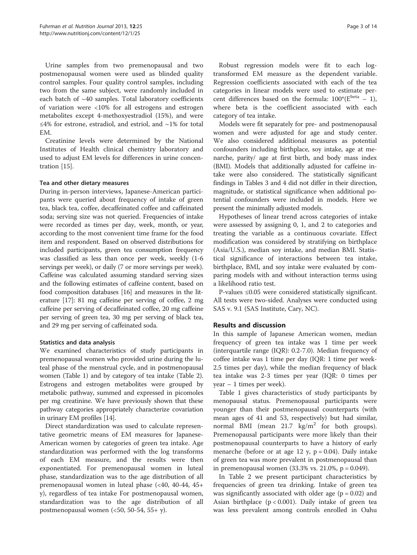Urine samples from two premenopausal and two postmenopausal women were used as blinded quality control samples. Four quality control samples, including two from the same subject, were randomly included in each batch of  $~40$  samples. Total laboratory coefficients of variation were <10% for all estrogens and estrogen metabolites except 4-methoxyestradiol (15%), and were ≤4% for estrone, estradiol, and estriol, and  $\sim$ 1% for total EM.

Creatinine levels were determined by the National Institutes of Health clinical chemistry laboratory and used to adjust EM levels for differences in urine concentration [\[15](#page-13-0)].

#### Tea and other dietary measures

During in-person interviews, Japanese-American participants were queried about frequency of intake of green tea, black tea, coffee, decaffeinated coffee and caffeinated soda; serving size was not queried. Frequencies of intake were recorded as times per day, week, month, or year, according to the most convenient time frame for the food item and respondent. Based on observed distributions for included participants, green tea consumption frequency was classified as less than once per week, weekly (1-6 servings per week), or daily (7 or more servings per week). Caffeine was calculated assuming standard serving sizes and the following estimates of caffeine content, based on food composition databases [\[16\]](#page-13-0) and measures in the literature [\[17\]](#page-13-0): 81 mg caffeine per serving of coffee, 2 mg caffeine per serving of decaffeinated coffee, 20 mg caffeine per serving of green tea, 30 mg per serving of black tea, and 29 mg per serving of caffeinated soda.

#### Statistics and data analysis

We examined characteristics of study participants in premenopausal women who provided urine during the luteal phase of the menstrual cycle, and in postmenopausal women (Table [1\)](#page-3-0) and by category of tea intake (Table [2](#page-4-0)). Estrogens and estrogen metabolites were grouped by metabolic pathway, summed and expressed in picomoles per mg creatinine. We have previously shown that these pathway categories appropriately characterize covariation in urinary EM profiles [\[14\]](#page-12-0).

Direct standardization was used to calculate representative geometric means of EM measures for Japanese-American women by categories of green tea intake. Age standardization was performed with the log transforms of each EM measure, and the results were then exponentiated. For premenopausal women in luteal phase, standardization was to the age distribution of all premenopausal women in luteal phase (<40, 40-44, 45+ y), regardless of tea intake For postmenopausal women, standardization was to the age distribution of all postmenopausal women  $(<50, 50-54, 55+y$ ).

Robust regression models were fit to each logtransformed EM measure as the dependent variable. Regression coefficients associated with each of the tea categories in linear models were used to estimate percent differences based on the formula:  $100^*(E^{beta} - 1)$ , where beta is the coefficient associated with each category of tea intake.

Models were fit separately for pre- and postmenopausal women and were adjusted for age and study center. We also considered additional measures as potential confounders including birthplace, soy intake, age at menarche, parity/ age at first birth, and body mass index (BMI). Models that additionally adjusted for caffeine intake were also considered. The statistically significant findings in Tables [3](#page-6-0) and [4](#page-8-0) did not differ in their direction, magnitude, or statistical significance when additional potential confounders were included in models. Here we present the minimally adjusted models.

Hypotheses of linear trend across categories of intake were assessed by assigning 0, 1, and 2 to categories and treating the variable as a continuous covariate. Effect modification was considered by stratifying on birthplace (Asia/U.S.), median soy intake, and median BMI. Statistical significance of interactions between tea intake, birthplace, BMI, and soy intake were evaluated by comparing models with and without interaction terms using a likelihood ratio test.

P-values ≤0.05 were considered statistically significant. All tests were two-sided. Analyses were conducted using SAS v. 9.1 (SAS Institute, Cary, NC).

# Results and discussion

In this sample of Japanese American women, median frequency of green tea intake was 1 time per week (interquartile range (IQR): 0.2-7.0). Median frequency of coffee intake was 1 time per day (IQR: 1 time per week-2.5 times per day), while the median frequency of black tea intake was 2-3 times per year (IQR: 0 times per year – 1 times per week).

Table [1](#page-3-0) gives characteristics of study participants by menopausal status. Premenopausal participants were younger than their postmenopausal counterparts (with mean ages of 41 and 53, respectively) but had similar, normal BMI (mean  $21.7 \text{ kg/m}^2$  for both groups). Premenopausal participants were more likely than their postmenopausal counterparts to have a history of early menarche (before or at age 12 y,  $p = 0.04$ ). Daily intake of green tea was more prevalent in postmenopausal than in premenopausal women (33.3% vs. 21.0%, p = 0.049).

In Table [2](#page-4-0) we present participant characteristics by frequencies of green tea drinking. Intake of green tea was significantly associated with older age  $(p = 0.02)$  and Asian birthplace  $(p < 0.001)$ . Daily intake of green tea was less prevalent among controls enrolled in Oahu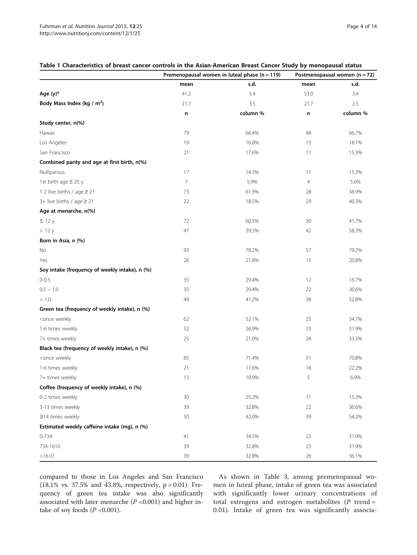#### <span id="page-3-0"></span>Table 1 Characteristics of breast cancer controls in the Asian-American Breast Cancer Study by menopausal status

|                                                                                  |      | Premenopausal women in luteal phase ( $n = 119$ ) | Postmenopausal women ( $n = 72$ ) |          |  |
|----------------------------------------------------------------------------------|------|---------------------------------------------------|-----------------------------------|----------|--|
|                                                                                  | mean | s.d.                                              | mean                              | s.d.     |  |
| Age $(y)*$                                                                       | 41.2 | 5.4                                               | 53.0                              | 3.4      |  |
| Body Mass Index (kg / $m2$ )                                                     | 21.7 | 3.5                                               | 21.7                              | 2.5      |  |
|                                                                                  | n    | column %                                          | n                                 | column % |  |
| Study center, n(%)                                                               |      |                                                   |                                   |          |  |
| Hawaii                                                                           | 79   | 66.4%                                             | 48                                | 66.7%    |  |
| Los Angeles                                                                      | 19   | 16.0%                                             | 13                                | 18.1%    |  |
| San Francisco                                                                    | 21   | 17.6%                                             | 11                                | 15.3%    |  |
| Combined parity and age at first birth, n(%)                                     |      |                                                   |                                   |          |  |
| Nulliparous                                                                      | 17   | 14.3%                                             | 11                                | 15.3%    |  |
| 1st birth age ≤ 20 y                                                             | 7    | 5.9%                                              | 4                                 | 5.6%     |  |
| 1-2 live births / age $\geq$ 21                                                  | 73   | 61.3%                                             | 28                                | 38.9%    |  |
| 3+ live births / age $\geq$ 21                                                   | 22   | 18.5%                                             | 29                                | 40.3%    |  |
| Age at menarche, n(%)                                                            |      |                                                   |                                   |          |  |
| $\leq$ 12 y                                                                      | 72   | 60.5%                                             | 30                                | 41.7%    |  |
| >12y                                                                             | 47   | 39.5%                                             | 42                                | 58.3%    |  |
| Born in Asia, n (%)                                                              |      |                                                   |                                   |          |  |
| No                                                                               | 93   | 78.2%                                             | 57                                | 79.2%    |  |
| Yes                                                                              | 26   | 21.8%                                             | 15                                | 20.8%    |  |
| Soy intake (frequency of weekly intake), n (%)                                   |      |                                                   |                                   |          |  |
| $0 - 0.5$                                                                        | 35   | 29.4%                                             | $12 \overline{ }$                 | 16.7%    |  |
| $0.5 - 1.0$                                                                      | 35   | 29.4%                                             | 22                                | 30.6%    |  |
| > 1.0                                                                            | 49   | 41.2%                                             | 38                                | 52.8%    |  |
| Green tea (frequency of weekly intake), n (%)                                    |      |                                                   |                                   |          |  |
| <once td="" weekly<=""><td>62</td><td>52.1%</td><td>25</td><td>34.7%</td></once> | 62   | 52.1%                                             | 25                                | 34.7%    |  |
| 1-6 times weekly                                                                 | 32   | 26.9%                                             | 23                                | 31.9%    |  |
| 7+ times weekly                                                                  | 25   | 21.0%                                             | 24                                | 33.3%    |  |
| Black tea (frequency of weekly intake), n (%)                                    |      |                                                   |                                   |          |  |
| <once td="" weekly<=""><td>85</td><td>71.4%</td><td>51</td><td>70.8%</td></once> | 85   | 71.4%                                             | 51                                | 70.8%    |  |
| 1-6 times weekly                                                                 | 21   | 17.6%                                             | 16                                | 22.2%    |  |
| 7+ times weekly                                                                  | 13   | 10.9%                                             | 5                                 | 6.9%     |  |
| Coffee (frequency of weekly intake), n (%)                                       |      |                                                   |                                   |          |  |
| 0-2 times weekly                                                                 | 30   | 25.2%                                             | 11                                | 15.3%    |  |
| 3-13 times weekly                                                                | 39   | 32.8%                                             | 22                                | 30.6%    |  |
| $\geq$ 14 times weekly                                                           | 50   | 42.0%                                             | 39                                | 54.2%    |  |
| Estimated weekly caffeine intake (mg), n (%)                                     |      |                                                   |                                   |          |  |
| $0 - 734$                                                                        | 41   | 34.5%                                             | 23                                | 31.9%    |  |
| 734-1610                                                                         | 39   | 32.8%                                             | 23                                | 31.9%    |  |
| >1610                                                                            | 39   | 32.8%                                             | 26                                | 36.1%    |  |

compared to those in Los Angeles and San Francisco (18.1% vs. 37.5% and 43.8%, respectively, p = 0.01). Frequency of green tea intake was also significantly associated with later menarche ( $P$  <0.001) and higher intake of soy foods  $(P < 0.001)$ .

As shown in Table [3,](#page-6-0) among premenopausal women in luteal phase, intake of green tea was associated with significantly lower urinary concentrations of total estrogens and estrogen metabolites  $(P$  trend = 0.01). Intake of green tea was significantly associa-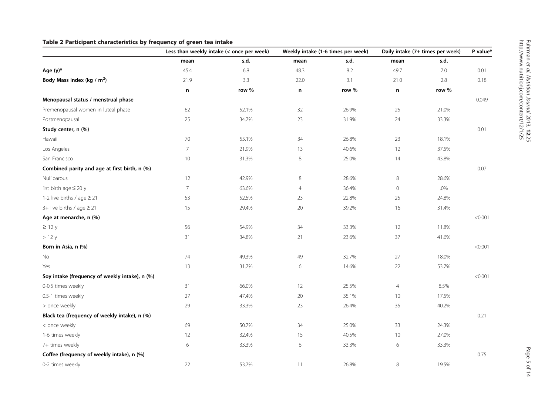# <span id="page-4-0"></span>Table 2 Participant characteristics by frequency of green tea intake

|                                                | Less than weekly intake (< once per week) |       | Weekly intake (1-6 times per week) |       | Daily intake (7+ times per week) |        | P value* |
|------------------------------------------------|-------------------------------------------|-------|------------------------------------|-------|----------------------------------|--------|----------|
|                                                | mean                                      | s.d.  | mean                               | s.d.  | mean                             | s.d.   |          |
| Age (y)*                                       | 45.4                                      | 6.8   | 48.3                               | 8.2   | 49.7                             | 7.0    | 0.01     |
| Body Mass Index (kg / $m2$ )                   | 21.9                                      | 3.3   | 22.0                               | 3.1   | 21.0                             | 2.8    | 0.18     |
|                                                | n                                         | row % | n                                  | row % | n                                | row %  |          |
| Menopausal status / menstrual phase            |                                           |       |                                    |       |                                  |        | 0.049    |
| Premenopausal women in luteal phase            | 62                                        | 52.1% | 32                                 | 26.9% | 25                               | 21.0%  |          |
| Postmenopausal                                 | 25                                        | 34.7% | 23                                 | 31.9% | 24                               | 33.3%  |          |
| Study center, n (%)                            |                                           |       |                                    |       |                                  |        | 0.01     |
| Hawaii                                         | $70\,$                                    | 55.1% | 34                                 | 26.8% | 23                               | 18.1%  |          |
| Los Angeles                                    | $\overline{7}$                            | 21.9% | 13                                 | 40.6% | 12                               | 37.5%  |          |
| San Francisco                                  | $10$                                      | 31.3% | 8                                  | 25.0% | 14                               | 43.8%  |          |
| Combined parity and age at first birth, n (%)  |                                           |       |                                    |       |                                  |        | 0.07     |
| Nulliparous                                    | 12                                        | 42.9% | 8                                  | 28.6% | 8                                | 28.6%  |          |
| 1st birth age ≤ 20 y                           | $\overline{7}$                            | 63.6% | $\overline{4}$                     | 36.4% | $\mathbf 0$                      | $.0\%$ |          |
| 1-2 live births / age $\geq$ 21                | 53                                        | 52.5% | 23                                 | 22.8% | 25                               | 24.8%  |          |
| $3+$ live births / age $\geq 21$               | 15                                        | 29.4% | 20                                 | 39.2% | 16                               | 31.4%  |          |
| Age at menarche, n (%)                         |                                           |       |                                    |       |                                  |        | < 0.001  |
| $\geq$ 12 y                                    | 56                                        | 54.9% | 34                                 | 33.3% | 12                               | 11.8%  |          |
| >12 y                                          | 31                                        | 34.8% | 21                                 | 23.6% | 37                               | 41.6%  |          |
| Born in Asia, n (%)                            |                                           |       |                                    |       |                                  |        | < 0.001  |
| No                                             | 74                                        | 49.3% | 49                                 | 32.7% | 27                               | 18.0%  |          |
| Yes                                            | 13                                        | 31.7% | 6                                  | 14.6% | 22                               | 53.7%  |          |
| Soy intake (frequency of weekly intake), n (%) |                                           |       |                                    |       |                                  |        | < 0.001  |
| 0-0.5 times weekly                             | 31                                        | 66.0% | 12                                 | 25.5% | $\overline{4}$                   | 8.5%   |          |
| 0.5-1 times weekly                             | $27\,$                                    | 47.4% | 20                                 | 35.1% | 10 <sup>°</sup>                  | 17.5%  |          |
| > once weekly                                  | 29                                        | 33.3% | 23                                 | 26.4% | 35                               | 40.2%  |          |
| Black tea (frequency of weekly intake), n (%)  |                                           |       |                                    |       |                                  |        | 0.21     |
| < once weekly                                  | 69                                        | 50.7% | 34                                 | 25.0% | 33                               | 24.3%  |          |
| 1-6 times weekly                               | 12                                        | 32.4% | 15                                 | 40.5% | 10 <sup>°</sup>                  | 27.0%  |          |
| 7+ times weekly                                | 6                                         | 33.3% | 6                                  | 33.3% | 6                                | 33.3%  |          |
| Coffee (frequency of weekly intake), n (%)     |                                           |       |                                    |       |                                  |        | 0.75     |
| 0-2 times weekly                               | 22                                        | 53.7% | 11                                 | 26.8% | 8                                | 19.5%  |          |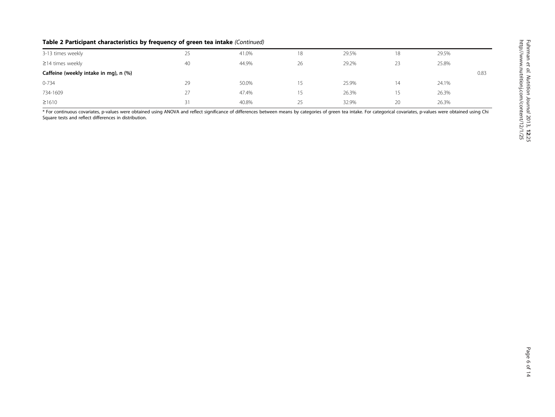# Table 2 Participant characteristics by frequency of green tea intake (Continued)

| 3-13 times weekly                     | 25 | 41.0% | 18 | 29.5% | 18 | 29.5% |      |
|---------------------------------------|----|-------|----|-------|----|-------|------|
| $\geq$ 14 times weekly                | 40 | 44.9% | 26 | 29.2% | 23 | 25.8% |      |
| Caffeine (weekly intake in mg), n (%) |    |       |    |       |    |       | 0.83 |
| $0 - 734$                             | 29 | 50.0% | 15 | 25.9% | 14 | 24.1% |      |
| 734-1609                              | 27 | 47.4% | 15 | 26.3% |    | 26.3% |      |
| ≥1610                                 | 31 | 40.8% | 25 | 32.9% | 20 | 26.3% |      |

\* For continuous covariates, p-values were obtained using ANOVA and reflect significance of differences between means by categories of green tea intake. For categorical covariates, p-values were obtained using Chi Square tests and reflect differences in distribution.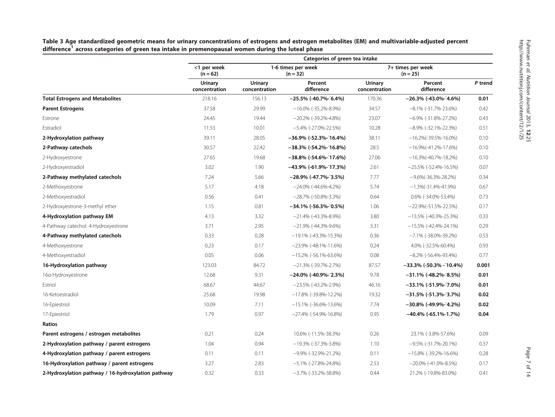|                                                    | Categories of green tea intake |                          |                                  |                                 |                             |         |  |  |  |  |
|----------------------------------------------------|--------------------------------|--------------------------|----------------------------------|---------------------------------|-----------------------------|---------|--|--|--|--|
|                                                    | <1 per week<br>$(n = 62)$      |                          | 1-6 times per week<br>$(n = 32)$ | 7+ times per week<br>$(n = 25)$ |                             |         |  |  |  |  |
|                                                    | Urinary<br>concentration       | Urinary<br>concentration | Percent<br>difference            | Urinary<br>concentration        | Percent<br>difference       | P trend |  |  |  |  |
| <b>Total Estrogens and Metabolites</b>             | 218.16                         | 156.13                   | $-25.5\%$ (-40.7%-5.4%)          | 170.36                          | $-26.3\%$ (-43.0%-24.6%)    | 0.01    |  |  |  |  |
| <b>Parent Estrogens</b>                            | 37.58                          | 29.99                    | $-16.0\%$ (-35.2%-8.9%)          | 34.57                           | $-8.1\%$ (-31.7%-23.6%)     | 0.42    |  |  |  |  |
| Estrone                                            | 24.45                          | 19.44                    | $-20.2\%$ (-39.2%-4.8%)          | 23.07                           | $-6.9\%$ (-31.8%-27.2%)     | 0.43    |  |  |  |  |
| Estradiol                                          | 11.53                          | 10.01                    | $-5.4\%$ (-27.0%-22.5%)          | 10.28                           | $-8.9\%$ (-32.1%-22.3%)     | 0.51    |  |  |  |  |
| 2-Hydroxylation pathway                            | 39.11                          | 28.05                    | –36.9% (-52.3%-~16.4%)           | 38.11                           | $-16.2\%(-39.5\% - 16.0\%)$ | 0.10    |  |  |  |  |
| 2-Pathway catechols                                | 30.57                          | 22.42                    | –38.3% (-54.2%-~16.8%)           | 28.5                            | $-16.9\%(-41.2\% - 17.6\%)$ | 0.10    |  |  |  |  |
| 2-Hydroxyestrone                                   | 27.65                          | 19.68                    | $-38.8\%$ (-54.6%-17.6%)         | 27.06                           | $-16.3\%(-40.7\% - 18.2\%)$ | 0.10    |  |  |  |  |
| 2-Hydroxyestradiol                                 | 3.02                           | 1.90                     | $-43.9\%$ (-61.9%-17.3%)         | 2.61                            | $-25.5\%$ (-52.4%-16.5%)    | 0.07    |  |  |  |  |
| 2-Pathway methylated catechols                     | 7.24                           | 5.66                     | $-28.9\%$ (-47.7%-3.5%)          | 7.77                            | $-9.6\%(-36.3\% - 28.2\%)$  | 0.34    |  |  |  |  |
| 2-Methoxyestrone                                   | 5.17                           | 4.18                     | $-24.0\%$ (-44.6%-4.2%)          | 5.74                            | $-1.3\%(-31.4\% - 41.9\%)$  | 0.67    |  |  |  |  |
| 2-Methoxyestradiol                                 | 0.56                           | 0.41                     | $-28.7\%$ (-50.8%-3.3%)          | 0.64                            | 0.6% (-34.0%-53.4%)         | 0.73    |  |  |  |  |
| 2-Hydroxyestrone-3-methyl ether                    | 1.15                           | 0.81                     | $-34.1\%$ (-56.3%-0.5%)          | 1.06                            | $-22.9\%(-51.5\% - 22.5\%)$ | 0.17    |  |  |  |  |
| 4-Hydroxylation pathway EM                         | 4.13                           | 3.32                     | $-21.4\%$ (-43.3%-8.9%)          | 3.80                            | $-13.5\%$ (-40.3%-25.3%)    | 0.33    |  |  |  |  |
| 4-Pathway catechol: 4-Hydroxyestrone               | 3.71                           | 2.95                     | $-21.9\%$ (-44.3%-9.6%)          | 3.31                            | $-15.5\%$ (-42.4%-24.1%)    | 0.29    |  |  |  |  |
| 4-Pathway methylated catechols                     | 0.33                           | 0.28                     | $-19.1\%$ (-43.3%-15.3%)         | 0.36                            | $-7.1\%$ (-38.0%-39.2%)     | 0.53    |  |  |  |  |
| 4-Methoxyestrone                                   | 0.23                           | 0.17                     | $-23.9\%$ (-48.1%-11.6%)         | 0.24                            | 4.0% (-32.5%-60.4%)         | 0.93    |  |  |  |  |
| 4-Methoxyestradiol                                 | 0.05                           | 0.06                     | $-15.2\%$ (-56.1%-63.6%)         | 0.08                            | $-8.2\%$ (-56.4%-93.4%)     | 0.77    |  |  |  |  |
| 16-Hydroxylation pathway                           | 123.03                         | 84.72                    | $-21.3\%$ (-39.7%-2.7%)          | 87.57                           | $-33.3\%$ (-50.3% - 10.4%)  | 0.001   |  |  |  |  |
| 16a-Hydroxyestrone                                 | 12.68                          | 9.31                     | $-24.0\%$ (-40.9%-2.3%)          | 9.78                            | $-31.1\%$ (-48.2%-18.5%)    | 0.01    |  |  |  |  |
| Estriol                                            | 68.67                          | 44.67                    | $-23.5\%$ (-43.2%-2.9%)          | 46.16                           | $-33.1\%$ (-51.9%-7.0%)     | 0.01    |  |  |  |  |
| 16-Ketoestradiol                                   | 25.68                          | 19.98                    | $-17.8\%$ (-39.8%-12.2%)         | 19.32                           | $-31.5\%$ (-51.3%-3.7%)     | 0.02    |  |  |  |  |
| 16-Epiestriol                                      | 10.09                          | 7.11                     | $-15.1\%$ (-36.6%-13.6%)         | 7.74                            | $-30.8\%$ (-49.9%-14.2%)    | 0.02    |  |  |  |  |
| 17-Epiestriol                                      | 1.79                           | 0.97                     | $-27.4\%$ (-54.9%-16.8%)         | 0.95                            | $-40.4\%$ (-65.1%-1.7%)     | 0.04    |  |  |  |  |
| Ratios                                             |                                |                          |                                  |                                 |                             |         |  |  |  |  |
| Parent estrogens / estrogen metabolites            | 0.21                           | 0.24                     | 10.6% (-11.5%-38.3%)             | 0.26                            | 23.1% (-3.8%-57.6%)         | 0.09    |  |  |  |  |
| 2-Hydroxylation pathway / parent estrogens         | 1.04                           | 0.94                     | $-19.3\%$ (-37.3%-3.8%)          | 1.10                            | $-9.5\%$ (-31.7%-20.1%)     | 0.37    |  |  |  |  |
| 4-Hydroxylation pathway / parent estrogens         | 0.11                           | 0.11                     | $-9.9\%$ (-32.9%-21.2%)          | 0.11                            | $-15.8\%$ (-39.2%-16.6%)    | 0.28    |  |  |  |  |
| 16-Hydroxylation pathway / parent estrogens        | 3.27                           | 2.83                     | $-5.1\%$ (-27.8%-24.8%)          | 2.53                            | $-20.0\%$ (-41.0%-8.5%)     | 0.17    |  |  |  |  |
| 2-Hydroxylation pathway / 16-hydroxylation pathway | 0.32                           | 0.33                     | $-3.7\%$ (-33.2%-38.8%)          | 0.44                            | 21.2% (-19.8%-83.0%)        | 0.41    |  |  |  |  |

<span id="page-6-0"></span>Table 3 Age standardized geometric means for urinary concentrations of estrogens and estrogen metabolites (EM) and multivariable-adjusted percent difference<sup>1</sup> across categories of green tea intake in premenopausal women during the luteal phase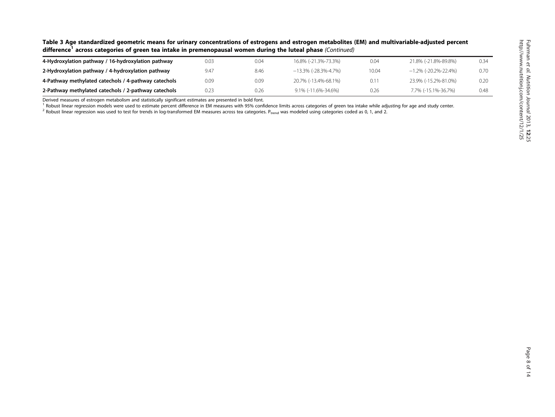| Table 3 Age standardized geometric means for urinary concentrations of estrogens and estrogen metabolites (EM) and multivariable-adjusted percent |
|---------------------------------------------------------------------------------------------------------------------------------------------------|
| difference <sup>1</sup> across categories of green tea intake in premenopausal women during the luteal phase (Continued)                          |

| 4-Hydroxylation pathway / 16-hydroxylation pathway   | 0.03 | 0.04 | 16.8% (-21.3%-73.3%)    | 0.04  | 21.8% (-21.8%-89.8%) | 0.34 |
|------------------------------------------------------|------|------|-------------------------|-------|----------------------|------|
| 2-Hydroxylation pathway / 4-hydroxylation pathway    | 9.47 | 8.46 | $-13.3\%$ (-28.3%-4.7%) | 10.04 | -1.2% (-20.2%-22.4%) | 0.70 |
| 4-Pathway methylated catechols / 4-pathway catechols | 0.09 | 0.09 | 20.7% (-13.4%-68.1%)    | 0.11  | 23.9% (-15.2%-81.0%) | 0.2C |
| 2-Pathway methylated catechols / 2-pathway catechols | 0.23 | 0.26 | $9.1\%$ (-11.6%-34.6%)  | 0.26  | 7.7% (-15.1%-36.7%)  | 0.48 |

Derived measures of estrogen metabolism and statistically significant estimates are presented in bold font.

<sup>1</sup> Robust linear regression models were used to estimate percent difference in EM measures with 95% confidence limits across categories of green tea intake while adjusting for age and study center.

 $^2$  Robust linear regression was used to test for trends in log-transformed EM measures across tea categories. P<sub>trend</sub> was modeled using categories coded as 0, 1, and 2.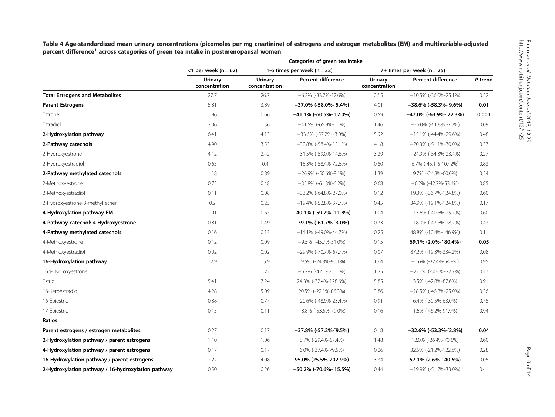|                                                    | Categories of green tea intake  |                                 |                                 |                                 |                                |         |  |
|----------------------------------------------------|---------------------------------|---------------------------------|---------------------------------|---------------------------------|--------------------------------|---------|--|
|                                                    | <1 per week ( $n = 62$ )        |                                 | 1-6 times per week ( $n = 32$ ) |                                 | 7+ times per week ( $n = 25$ ) |         |  |
|                                                    | <b>Urinary</b><br>concentration | <b>Urinary</b><br>concentration | Percent difference              | <b>Urinary</b><br>concentration | <b>Percent difference</b>      | P trend |  |
| <b>Total Estrogens and Metabolites</b>             | 27.7                            | 26.7                            | $-6.2\%$ (-33.7%-32.6%)         | 26.5                            | $-10.5\%$ (-36.0%-25.1%)       | 0.52    |  |
| <b>Parent Estrogens</b>                            | 5.81                            | 3.89                            | $-37.0\%$ (-58.0%-5.4%)         | 4.01                            | $-38.6\%$ (-58.3%-19.6%)       | 0.01    |  |
| Estrone                                            | 1.96                            | 0.66                            | $-41.1\%$ (-60.5%-12.0%)        | 0.59                            | $-47.0\%$ (-63.9%-22.3%)       | 0.001   |  |
| Estradiol                                          | 2.06                            | 1.36                            | $-41.5\%$ (-65.9%-0.1%)         | 1.46                            | $-36.0\%$ (-61.8% -7.2%)       | 0.09    |  |
| 2-Hydroxylation pathway                            | 6.41                            | 4.13                            | $-33.6\%$ (-57.2% -3.0%)        | 5.92                            | $-15.1\%$ (-44.4%-29.6%)       | 0.48    |  |
| 2-Pathway catechols                                | 4.90                            | 3.53                            | $-30.8\%$ ( $-58.4\%$ -15.1%)   | 4.18                            | $-20.3\%$ (-51.1%-30.0%)       | 0.37    |  |
| 2-Hydroxyestrone                                   | 4.12                            | 2.42                            | $-31.5\%$ (-59.0%-14.6%)        | 3.29                            | $-24.9\%$ (-54.3%-23.4%)       | 0.27    |  |
| 2-Hydroxyestradiol                                 | 0.65                            | 0.4                             | $-15.3\%$ (-58.4%-72.6%)        | 0.80                            | 6.7% (-45.1%-107.2%)           | 0.83    |  |
| 2-Pathway methylated catechols                     | 1.18                            | 0.89                            | $-26.9\%$ (-50.6%-8.1%)         | 1.39                            | 9.7% (-24.8%-60.0%)            | 0.54    |  |
| 2-Methoxyestrone                                   | 0.72                            | 0.48                            | $-35.8\%$ (-61.3%-6.2%)         | 0.68                            | $-6.2\%$ (-42.7%-53.4%)        | 0.85    |  |
| 2-Methoxyestradiol                                 | 0.11                            | 0.08                            | $-33.2\%$ (-64.8%-27.0%)        | 0.12                            | 19.3% (-36.7%-124.8%)          | 0.60    |  |
| 2-Hydroxyestrone-3-methyl ether                    | 0.2                             | 0.25                            | -19.4% (-52.8%-37.7%)           | 0.45                            | 34.9% (-19.1%-124.8%)          | 0.17    |  |
| 4-Hydroxylation pathway EM                         | 1.01                            | 0.67                            | $-40.1\%$ (-59.2%-11.8%)        | 1.04                            | $-13.6\%$ (-40.6%-25.7%)       | 0.60    |  |
| 4-Pathway catechol: 4-Hydroxyestrone               | 0.81                            | 0.49                            | $-39.1\%$ (-61.7%-13.0%)        | 0.73                            | $-18.0\%$ (-47.6%-28.2%)       | 0.43    |  |
| 4-Pathway methylated catechols                     | 0.16                            | 0.13                            | $-14.1\%$ (-49.0%-44.7%)        | 0.25                            | 48.8% (-10.4%-146.9%)          | 0.11    |  |
| 4-Methoxyestrone                                   | 0.12                            | 0.09                            | $-9.5\%$ (-45.7%-51.0%)         | 0.15                            | 69.1% (2.0%-180.4%)            | 0.05    |  |
| 4-Methoxyestradiol                                 | 0.02                            | 0.02                            | $-29.9\%$ (-70.7%-67.7%)        | 0.07                            | 87.2% (-19.3%-334.2%)          | 0.08    |  |
| 16-Hydroxylation pathway                           | 12.9                            | 15.9                            | 19.5% (-24.8%-90.1%)            | 13.4                            | $-1.6\%$ (-37.4%-54.8%)        | 0.95    |  |
| 16a-Hydroxyestrone                                 | 1.15                            | 1.22                            | $-6.7\%$ (-42.1%-50.1%)         | 1.25                            | $-22.1\%$ (-50.6%-22.7%)       | 0.27    |  |
| Estriol                                            | 5.41                            | 7.24                            | 24.3% (-32.4%-128.6%)           | 5.85                            | 3.5% (-42.8%-87.6%)            | 0.91    |  |
| 16-Ketoestradiol                                   | 4.28                            | 5.09                            | 20.5% (-22.1%-86.3%)            | 3.86                            | $-18.5\%$ (-46.8%-25.0%)       | 0.36    |  |
| 16-Epiestriol                                      | 0.88                            | 0.77                            | $-20.6\%$ (-48.9%-23.4%)        | 0.91                            | 6.4% (-30.5%-63.0%)            | 0.75    |  |
| 17-Epiestriol                                      | 0.15                            | 0.11                            | $-8.8\%$ ( $-53.5\%$ -79.0%)    | 0.16                            | 1.6% (-46.2%-91.9%)            | 0.94    |  |
| Ratios                                             |                                 |                                 |                                 |                                 |                                |         |  |
| Parent estrogens / estrogen metabolites            | 0.27                            | 0.17                            | $-37.8\%$ (-57.2%-3.5%)         | 0.18                            | $-32.6\%$ (-53.3%-2.8%)        | 0.04    |  |
| 2-Hydroxylation pathway / parent estrogens         | 1.10                            | 1.06                            | 8.7% (-29.4%-67.4%)             | 1.48                            | 12.0% (-26.4%-70.6%)           | 0.60    |  |
| 4-Hydroxylation pathway / parent estrogens         | 0.17                            | 0.17                            | 6.0% (-37.4%-79.5%)             | 0.26                            | 32.5% (-21.2%-122.6%)          | 0.28    |  |
| 16-Hydroxylation pathway / parent estrogens        | 2.22                            | 4.08                            | 95.0% (25.5%-202.9%)            | 3.34                            | 57.1% (2.6%-140.5%)            | 0.05    |  |
| 2-Hydroxylation pathway / 16-hydroxylation pathway | 0.50                            | 0.26                            | $-50.2\%$ (-70.6%-15.5%)        | 0.44                            | $-19.9\%$ (-51.7%-33.0%)       | 0.41    |  |

<span id="page-8-0"></span>Table <sup>4</sup> Age-standardized mean urinary concentrations (picomoles per mg creatinine) of estrogens and estrogen metabolites (EM) and multivariable-adjusted percent difference<sup>1</sup> across categories of green tea intake in postmenopausal women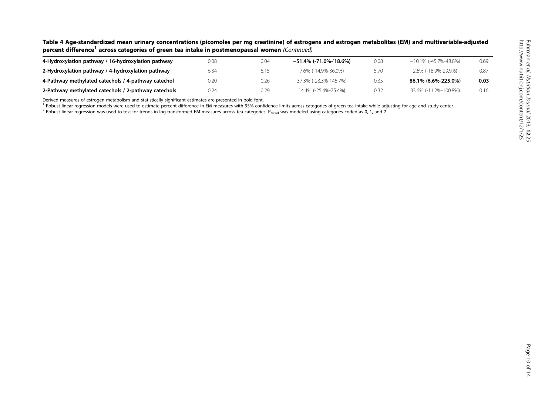| Table 4 Age-standardized mean urinary concentrations (picomoles per mg creatinine) of estrogens and estrogen metabolites (EM) and multivariable-adjusted |
|----------------------------------------------------------------------------------------------------------------------------------------------------------|
| percent difference <sup>1</sup> across categories of green tea intake in postmenopausal women (Continued)                                                |

| 4-Hydroxylation pathway / 16-hydroxylation pathway   | 0.08 | 0.04 | $-51.4\%$ (-71.0%-18.6%) | 0.08 | $-10.1\%$ (-45.7%-48.8%) | 0.69 |
|------------------------------------------------------|------|------|--------------------------|------|--------------------------|------|
| 2-Hydroxylation pathway / 4-hydroxylation pathway    | 6.34 | 6.15 | 7.6% (-14.9%-36.0%)      | 5.70 | 2.6% (-18.9%-29.9%)      | 0.87 |
| 4-Pathway methylated catechols / 4-pathway catechol  | 0.20 | 0.26 | 37.3% (-23.3%-145.7%)    | 0.35 | 86.1% (6.6%-225.0%)      | 0.03 |
| 2-Pathway methylated catechols / 2-pathway catechols | 0.24 | 0.29 | 14.4% (-25.4%-75.4%)     | 0.32 | 33.6% (-11.2%-100.8%)    | 0.16 |

Derived measures of estrogen metabolism and statistically significant estimates are presented in bold font.

<sup>1</sup> Robust linear regression models were used to estimate percent difference in EM measures with 95% confidence limits across categories of green tea intake while adjusting for age and study center.

 $^2$  Robust linear regression was used to test for trends in log-transformed EM measures across tea categories. P<sub>trend</sub> was modeled using categories coded as 0, 1, and 2.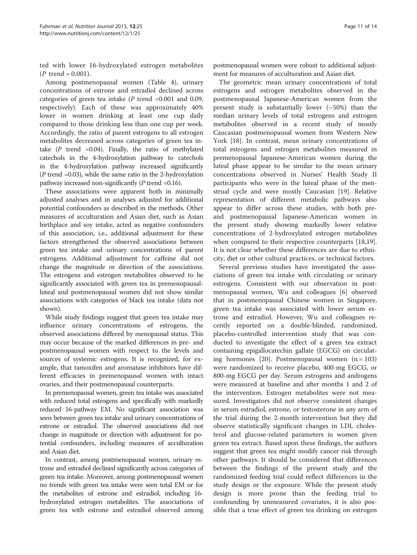ted with lower 16-hydroxylated estrogen metabolites  $(P$  trend = 0.001).

Among postmenopausal women (Table [4\)](#page-8-0), urinary concentrations of estrone and estradiol declined across categories of green tea intake ( $P$  trend =0.001 and 0.09, respectively). Each of these was approximately 40% lower in women drinking at least one cup daily compared to those drinking less than one cup per week. Accordingly, the ratio of parent estrogens to all estrogen metabolites decreased across categories of green tea intake  $(P$  trend =0.04). Finally, the ratio of methylated catechols in the 4-hydroxylation pathway to catechols in the 4-hydroxylation pathway increased significantly  $(P$  trend =0.03), while the same ratio in the 2-hydroxylation pathway increased non-significantly  $(P$  trend =0.16).

These associations were apparent both in minimally adjusted analyses and in analyses adjusted for additional potential confounders as described in the methods. Other measures of acculturation and Asian diet, such as Asian birthplace and soy intake, acted as negative confounders of this association, i.e., additional adjustment for these factors strengthened the observed associations between green tea intake and urinary concentrations of parent estrogens. Additional adjustment for caffeine did not change the magnitude or direction of the associations. The estrogens and estrogen metabolites observed to be significantly associated with green tea in premenopausalluteal and postmenopausal women did not show similar associations with categories of black tea intake (data not shown).

While study findings suggest that green tea intake may influence urinary concentrations of estrogens, the observed associations differed by menopausal status. This may occur because of the marked differences in pre- and postmenopausal women with respect to the levels and sources of systemic estrogens. It is recognized, for example, that tamoxifen and aromatase inhibitors have different efficacies in premenopausal women with intact ovaries, and their postmenopausal counterparts.

In premenopausal women, green tea intake was associated with reduced total estrogens and specifically with markedly reduced 16-pathway EM. No significant association was seen between green tea intake and urinary concentrations of estrone or estradiol. The observed associations did not change in magnitude or direction with adjustment for potential confounders, including measures of acculturation and Asian diet.

In contrast, among postmenopausal women, urinary estrone and estradiol declined significantly across categories of green tea intake. Moreover, among postmenopausal women no trends with green tea intake were seen total EM or for the metabolites of estrone and estradiol, including 16 hydroxylated estrogen metabolites. The associations of green tea with estrone and estradiol observed among postmenopausal women were robust to additional adjustment for measures of acculturation and Asian diet.

The geometric mean urinary concentrations of total estrogens and estrogen metabolites observed in the postmenopausal Japanese-American women from the present study is substantially lower  $(-50%)$  than the median urinary levels of total estrogens and estrogen metabolites observed in a recent study of mostly Caucasian postmenopausal women from Western New York [\[18\]](#page-13-0). In contrast, mean urinary concentrations of total estrogens and estrogen metabolites measured in premenopausal Japanese-American women during the luteal phase appear to be similar to the mean urinary concentrations observed in Nurses' Health Study II participants who were in the luteal phase of the menstrual cycle and were mostly Caucasian [\[19\]](#page-13-0). Relative representation of different metabolic pathways also appear to differ across these studies, with both preand postmenopausal Japanese-American women in the present study showing markedly lower relative concentrations of 2-hydroxylated estrogen metabolites when compared to their respective counterparts [\[18,19](#page-13-0)]. It is not clear whether these differences are due to ethnicity, diet or other cultural practices, or technical factors.

Several previous studies have investigated the associations of green tea intake with circulating or urinary estrogens. Consistent with our observation in postmenopausal women, Wu and colleagues [\[6](#page-12-0)] observed that in postmenopausal Chinese women in Singapore, green tea intake was associated with lower serum estrone and estradiol. However, Wu and colleagues recently reported on a double-blinded, randomized, placebo-controlled intervention study that was conducted to investigate the effect of a green tea extract containing epigallocatechin gallate (EGCG) on circulating hormones  $[20]$  $[20]$ . Postmenopausal women  $(n = 103)$ were randomized to receive placebo, 400-mg EGCG, or 800-mg EGCG per day. Serum estrogens and androgens were measured at baseline and after months 1 and 2 of the intervention. Estrogen metabolites were not measured. Investigators did not observe consistent changes in serum estradiol, estrone, or testosterone in any arm of the trial during the 2-month intervention but they did observe statistically significant changes in LDL cholesterol and glucose-related parameters in women given green tea extract. Based upon these findings, the authors suggest that green tea might modify cancer risk through other pathways. It should be considered that differences between the findings of the present study and the randomized feeding trial could reflect differences in the study design or the exposure. While the present study design is more prone than the feeding trial to confounding by unmeasured covariates, it is also possible that a true effect of green tea drinking on estrogen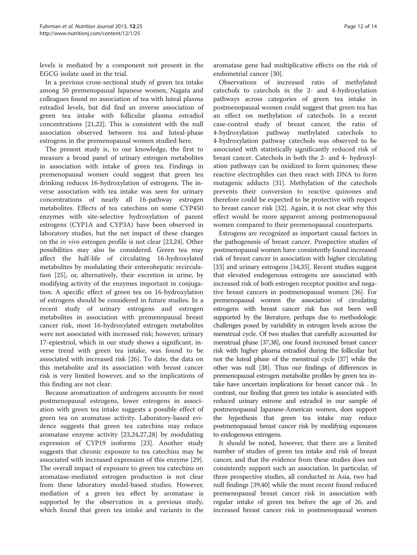levels is mediated by a component not present in the EGCG isolate used in the trial.

In a previous cross-sectional study of green tea intake among 50 premenopausal Japanese women, Nagata and colleagues found no association of tea with luteal plasma estradiol levels, but did find an inverse association of green tea intake with follicular plasma estradiol concentrations [[21,22](#page-13-0)]. This is consistent with the null association observed between tea and luteal-phase estrogens in the premenopausal women studied here.

The present study is, to our knowledge, the first to measure a broad panel of urinary estrogen metabolites in association with intake of green tea. Findings in premenopausal women could suggest that green tea drinking reduces 16-hydroxylation of estrogens. The inverse association with tea intake was seen for urinary concentrations of nearly all 16-pathway estrogen metabolites. Effects of tea catechins on some CYP450 enzymes with site-selective hydroxylation of parent estrogens (CYP1A and CYP3A) have been observed in laboratory studies, but the net impact of these changes on the in vivo estrogen profile is not clear [\[23,24\]](#page-13-0). Other possibilities may also be considered. Green tea may affect the half-life of circulating 16-hydroxylated metabolites by modulating their enterohepatic recirculation [\[25\]](#page-13-0), or, alternatively, their excretion in urine, by modifying activity of the enzymes important in conjugation. A specific effect of green tea on 16-hydroxylation of estrogens should be considered in future studies. In a recent study of urinary estrogens and estrogen metabolites in association with premenopausal breast cancer risk, most 16-hydroxylated estrogen metabolites were not associated with increased risk; however, urinary 17-epiestriol, which in our study shows a significant, inverse trend with green tea intake, was found to be associated with increased risk [\[26](#page-13-0)]. To date, the data on this metabolite and its association with breast cancer risk is very limited however, and so the implications of this finding are not clear.

Because aromatization of androgens accounts for most postmenopausal estrogens, lower estrogens in association with green tea intake suggests a possible effect of green tea on aromatase activity. Laboratory-based evidence suggests that green tea catechins may reduce aromatase enzyme activity [[23,24,27,28\]](#page-13-0) by modulating expression of CYP19 isoforms [\[23](#page-13-0)]. Another study suggests that chronic exposure to tea catechins may be associated with increased expression of this enzyme [\[29](#page-13-0)]. The overall impact of exposure to green tea catechins on aromatase-mediated estrogen production is not clear from these laboratory model-based studies. However, mediation of a green tea effect by aromatase is supported by the observation in a previous study, which found that green tea intake and variants in the aromatase gene had multiplicative effects on the risk of endometrial cancer [[30](#page-13-0)].

Observations of increased ratio of methylated catechols to catechols in the 2- and 4-hydroxylation pathways across categories of green tea intake in postmenopausal women could suggest that green tea has an effect on methylation of catechols. In a recent case-control study of breast cancer, the ratio of 4-hydroxylation pathway methylated catechols to 4-hydroxylation pathway catechols was observed to be associated with statistically significantly reduced risk of breast cancer. Catechols in both the 2- and 4- hydroxylation pathways can be oxidized to form quinones; these reactive electrophiles can then react with DNA to form mutagenic adducts [\[31\]](#page-13-0). Methylation of the catechols prevents their conversion to reactive quinones and therefore could be expected to be protective with respect to breast cancer risk [\[32](#page-13-0)]. Again, it is not clear why this effect would be more apparent among postmenopausal women compared to their premenopausal counterparts.

Estrogens are recognized as important causal factors in the pathogenesis of breast cancer. Prospective studies of postmenopausal women have consistently found increased risk of breast cancer in association with higher circulating [[33](#page-13-0)] and urinary estrogens [[34,35](#page-13-0)]. Recent studies suggest that elevated endogenous estrogens are associated with increased risk of both estrogen receptor positive and negative breast cancers in postmenopausal women [[36](#page-13-0)]. For premenopausal women the association of circulating estrogens with breast cancer risk has not been well supported by the literature, perhaps due to methodologic challenges posed by variability in estrogen levels across the menstrual cycle. Of two studies that carefully accounted for menstrual phase [\[37,38](#page-13-0)], one found increased breast cancer risk with higher plasma estradiol during the follicular but not the luteal phase of the menstrual cycle [\[37\]](#page-13-0) while the other was null [\[38](#page-13-0)]. Thus our findings of differences in premenopausal estrogen metabolite profiles by green tea intake have uncertain implications for breast cancer risk . In contrast, our finding that green tea intake is associated with reduced urinary estrone and estradiol in our sample of postmenopausal Japanese-American women, does support the hypothesis that green tea intake may reduce postmenopausal breast cancer risk by modifying exposures to endogenous estrogens.

It should be noted, however, that there are a limited number of studies of green tea intake and risk of breast cancer, and that the evidence from these studies does not consistently support such an association. In particular, of three prospective studies, all conducted in Asia, two had null findings [\[39,40\]](#page-13-0) while the most recent found reduced premenopausal breast cancer risk in association with regular intake of green tea before the age of 26, and increased breast cancer risk in postmenopausal women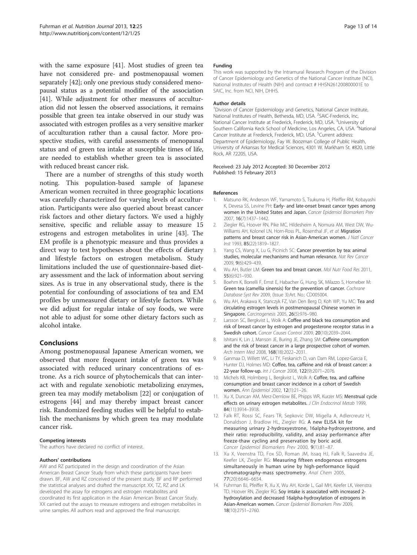<span id="page-12-0"></span>with the same exposure [[41](#page-13-0)]. Most studies of green tea have not considered pre- and postmenopausal women separately [\[42\]](#page-13-0); only one previous study considered menopausal status as a potential modifier of the association [[41](#page-13-0)]. While adjustment for other measures of acculturation did not lessen the observed associations, it remains possible that green tea intake observed in our study was associated with estrogen profiles as a very sensitive marker of acculturation rather than a causal factor. More prospective studies, with careful assessments of menopausal status and of green tea intake at susceptible times of life, are needed to establish whether green tea is associated with reduced breast cancer risk.

There are a number of strengths of this study worth noting. This population-based sample of Japanese American women recruited in three geographic locations was carefully characterized for varying levels of acculturation. Participants were also queried about breast cancer risk factors and other dietary factors. We used a highly sensitive, specific and reliable assay to measure 15 estrogens and estrogen metabolites in urine [\[43](#page-13-0)]. The EM profile is a phenotypic measure and thus provides a direct way to test hypotheses about the effects of dietary and lifestyle factors on estrogen metabolism. Study limitations included the use of questionnaire-based dietary assessment and the lack of information about serving sizes. As is true in any observational study, there is the potential for confounding of associations of tea and EM profiles by unmeasured dietary or lifestyle factors. While we did adjust for regular intake of soy foods, we were not able to adjust for some other dietary factors such as alcohol intake.

# Conclusions

Among postmenopausal Japanese American women, we observed that more frequent intake of green tea was associated with reduced urinary concentrations of estrone. As a rich source of phytochemicals that can interact with and regulate xenobiotic metabolizing enzymes, green tea may modify metabolism [\[22\]](#page-13-0) or conjugation of estrogens [[44](#page-13-0)] and may thereby impact breast cancer risk. Randomized feeding studies will be helpful to establish the mechanisms by which green tea may modulate cancer risk.

#### Competing interests

The authors have declared no conflict of interest.

#### Authors' contributions

AW and RZ participated in the design and coordination of the Asian American Breast Cancer Study from which these participants have been drawn. BF, AW and RZ conceived of the present study. BF and RP performed the statistical analyses and drafted the manuscript. XX, TZ, RZ and LK developed the assay for estrogens and estrogen metabolites and coordinated its first application in the Asian American Breast Cancer Study. XX carried out the assays to measure estrogens and estrogen metabolites in urine samples. All authors read and approved the final manuscript.

#### Funding

This work was supported by the Intramural Research Program of the Division of Cancer Epidemiology and Genetics of the National Cancer Institute (NCI), National Institutes of Health (NIH) and contract # HHSN261200800001E to SAIC, Inc. from NCI, NIH, DHHS.

#### Author details

<sup>1</sup> Division of Cancer Epidemiology and Genetics, National Cancer Institute National Institutes of Health, Bethesda, MD, USA. <sup>2</sup>SAIC-Frederick, Inc, National Cancer Institute at Frederick, Frederick, MD, USA. <sup>3</sup>University of Southern California Keck School of Medicine, Los Angeles, CA, USA. <sup>4</sup>National Cancer Institute at Frederick, Frederick, MD, USA. <sup>5</sup>Current address Department of Epidemiology, Fay W. Boozman College of Public Health, University of Arkansas for Medical Sciences, 4301 W. Markham St. #820, Little Rock, AR 72205, USA.

#### Received: 23 July 2012 Accepted: 30 December 2012 Published: 15 February 2013

#### References

- 1. Matsuno RK, Anderson WF, Yamamoto S, Tsukuma H, Pfeiffer RM, Kobayashi K, Devesa SS, Levine PH: Early- and late-onset breast cancer types among women in the United States and Japan. Cancer Epidemiol Biomarkers Prev 2007, 16(7):1437–1442.
- 2. Ziegler RG, Hoover RN, Pike MC, Hildesheim A, Nomura AM, West DW, Wu-Williams AH, Kolonel LN, Horn-Ross PL, Rosenthal JF, et al: Migration patterns and breast cancer risk in Asian-American women. J Natl Cancer Inst 1993, 85(22):1819-1827
- 3. Yang CS, Wang X, Lu G, Picinich SC: Cancer prevention by tea: animal studies, molecular mechanisms and human relevance. Nat Rev Cancer 2009, 9(6):429–439.
- 4. Wu AH, Butler LM: Green tea and breast cancer. Mol Nutr Food Res 2011, 55(6):921–930.
- 5. Boehm K, Borrelli F, Ernst E, Habacher G, Hung SK, Milazzo S, Horneber M: Green tea (camellia sinensis) for the prevention of cancer. Cochrane Database Syst Rev 2009, (Issue 3):Art. No.: CD005004.
- 6. Wu AH, Arakawa K, Stanczyk FZ, Van Den Berg D, Koh WP, Yu MC: Tea and circulating estrogen levels in postmenopausal Chinese women in Singapore. Carcinogenesis 2005, 26(5):976–980.
- 7. Larsson SC, Bergkvist L, Wolk A: Coffee and black tea consumption and risk of breast cancer by estrogen and progesterone receptor status in a Swedish cohort. Cancer Causes Control 2009, 20(10):2039–2044.
- 8. Ishitani K, Lin J, Manson JE, Buring JE, Zhang SM: Caffeine consumption and the risk of breast cancer in a large prospective cohort of women. Arch Intern Med 2008, 168(18):2022–2031.
- 9. Ganmaa D, Willett WC, Li TY, Feskanich D, van Dam RM, Lopez-Garcia E, Hunter DJ, Holmes MD: Coffee, tea, caffeine and risk of breast cancer: a 22-year follow-up. Int J Cancer 2008, 122(9):2071–2076.
- 10. Michels KB, Holmberg L, Bergkvist L, Wolk A: Coffee, tea, and caffeine consumption and breast cancer incidence in a cohort of Swedish women. Ann Epidemiol 2002, 12(1):21–26.
- 11. Xu X, Duncan AM, Merz-Demlow BE, Phipps WR, Kurzer MS: Menstrual cycle effects on urinary estrogen metabolites. J Clin Endocrinol Metab 1999, 84(11):3914–3918.
- 12. Falk RT, Rossi SC, Fears TR, Sepkovic DW, Migella A, Adlercreutz H, Donaldson J, Bradlow HL, Ziegler RG: A new ELISA kit for measuring urinary 2-hydroxyestrone, 16alpha-hydroxyestrone, and their ratio: reproducibility, validity, and assay performance after freeze-thaw cycling and preservation by boric acid. Cancer Epidemiol Biomarkers Prev 2000, 9(1):81–87.
- 13. Xu X, Veenstra TD, Fox SD, Roman JM, Issaq HJ, Falk R, Saavedra JE, Keefer LK, Ziegler RG: Measuring fifteen endogenous estrogens simultaneously in human urine by high-performance liquid chromatography-mass spectrometry. Anal Chem 2005, 77(20):6646–6654.
- 14. Fuhrman BJ, Pfeiffer R, Xu X, Wu AH, Korde L, Gail MH, Keefer LK, Veenstra TD, Hoover RN, Ziegler RG: Soy intake is associated with increased 2hydroxylation and decreased 16alpha-hydroxylation of estrogens in Asian-American women. Cancer Epidemiol Biomarkers Prev 2009, 18(10):2751–2760.